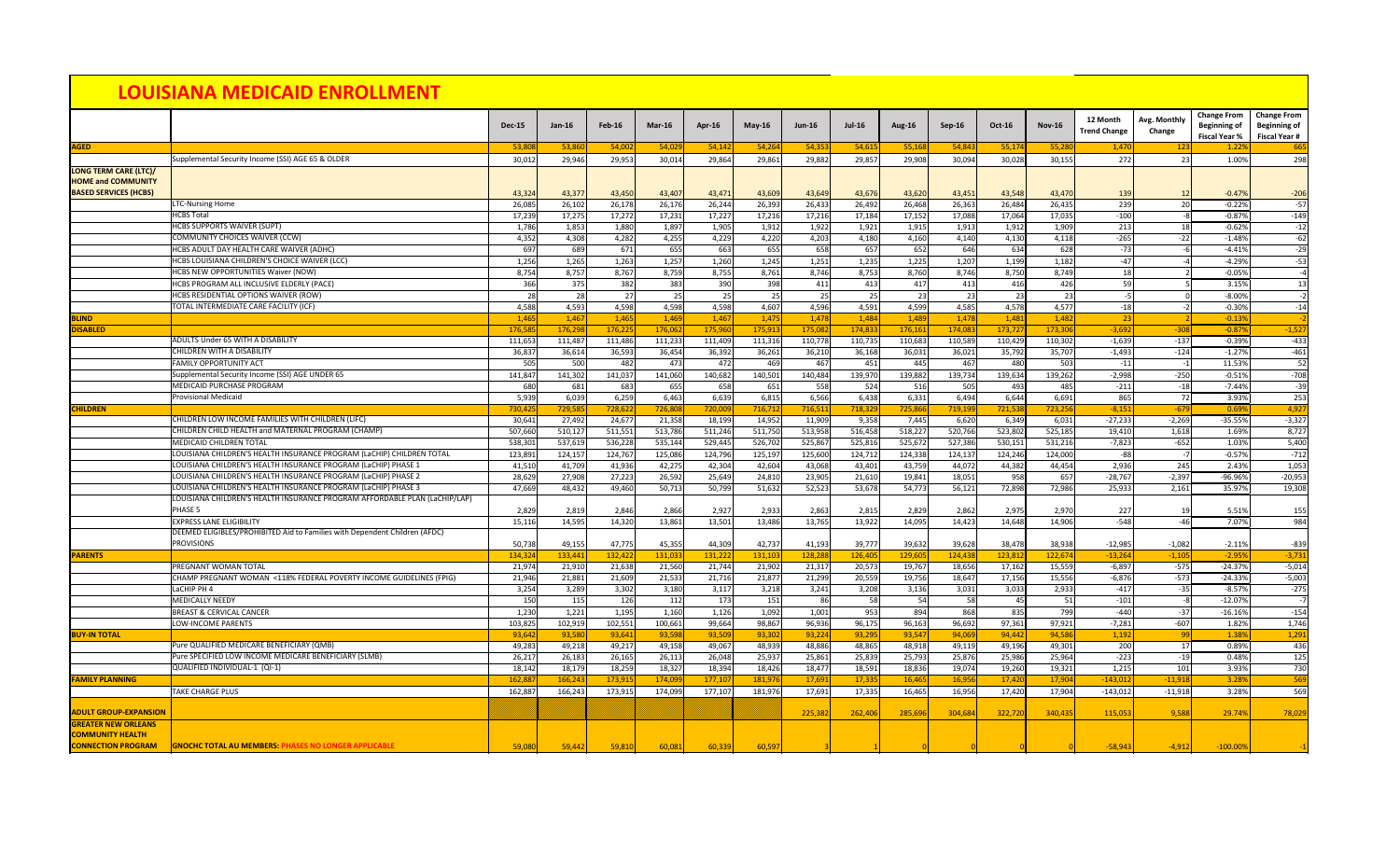|                                                                                           |                                                                                  | <b>Dec-15</b>    | <b>Jan-16</b>     | <b>Feb-16</b>    | $Mar-16$         | <b>Apr-16</b>    | $May-16$         | <b>Jun-16</b>    | <b>Jul-16</b>    | <b>Aug-16</b>    | Sep-16           | <b>Oct-16</b>    | <b>Nov-16</b>    | 12 Month<br><b>Trend Change</b> | Avg. Monthly<br>Change | <b>Change From</b><br><b>Beginning of</b><br><b>Fiscal Year %</b> | <b>Change From</b><br><b>Beginning of</b><br><b>Fiscal Year #</b> |
|-------------------------------------------------------------------------------------------|----------------------------------------------------------------------------------|------------------|-------------------|------------------|------------------|------------------|------------------|------------------|------------------|------------------|------------------|------------------|------------------|---------------------------------|------------------------|-------------------------------------------------------------------|-------------------------------------------------------------------|
| <b>AGED</b>                                                                               |                                                                                  | 53,808           | 53,860            | 54,002           | 54,029           | 54,142           | 54,264           | 54,353           | 54,615           | 55,168           | 54,843           | 55,174           | 55,28            | 1,470                           |                        | 1.22%                                                             | 665                                                               |
|                                                                                           | Supplemental Security Income (SSI) AGE 65 & OLDER                                | 30,012           | 29,946            | 29,953           | 30,014           | 29,864           | 29,861           | 29,882           | 29,857           | 29,908           | 30,094           | 30,028           | 30,155           | 272                             | -23                    | 1.00%                                                             | 298                                                               |
| <b>LONG TERM CARE (LTC)/</b><br><b>HOME and COMMUNITY</b><br><b>BASED SERVICES (HCBS)</b> |                                                                                  | 43,324           | 43,377            | 43,450           | 43,407           | 43,471           | 43,609           | 43,649           | 43,676           | 43,620           | 43,451           | 43,548           | 43,470           | 139                             |                        | $-0.47%$                                                          | $-206$                                                            |
|                                                                                           | <b>LTC-Nursing Home</b>                                                          | 26,085           | 26,102            | 26,178           | 26,176           | 26,244           | 26,393           | 26,433           | 26,492           | 26,468           | 26,363           | 26,484           | 26,435           | 239                             |                        | $-0.22%$                                                          | $-57$                                                             |
|                                                                                           | <b>HCBS Total</b>                                                                | 17,239           | 17,275            | 17,272           | 17,231           | 17,227           | 17,216           | 17,216           | 17,184           | 17,152           | 17,088           | 17,064           | 17,035           | $-100$                          |                        | $-0.87%$                                                          | $-149$                                                            |
|                                                                                           | <b>HCBS SUPPORTS WAIVER (SUPT)</b>                                               | 1,786            | 1,853             | 1,880            | 1,897            | 1,905            | 1,912            | 1,922            | 1,921            | 1,915            | 1,913            | 1,912            | 1,909            | 213                             |                        | $-0.62%$                                                          | $-12$                                                             |
|                                                                                           | <b>COMMUNITY CHOICES WAIVER (CCW)</b>                                            | 4,352            | 4,308             | 4,282            | 4,255            | 4,229            | 4,220            | 4,203            | 4,180            | 4,160            | 4,140            | 4,130            | 4,118            | $-265$                          | $-22$                  | $-1.48%$                                                          | $-62$                                                             |
|                                                                                           | HCBS ADULT DAY HEALTH CARE WAIVER (ADHC)                                         | 697              | 689               | 671              | 655              | 663              | 655              | 658              | 657              | 652              | 646              | 634              | 628              | $-73$                           |                        | $-4.41%$                                                          | $-29$                                                             |
|                                                                                           | HCBS LOUISIANA CHILDREN'S CHOICE WAIVER (LCC)                                    | 1,256            | 1,265             | 1,263            | 1,257            | 1,260            | 1,245            | 1,251            | 1,235            | 1,225            | 1,207            | 1,199            | 1,182            | $-47$                           |                        | $-4.29%$                                                          | $-53$                                                             |
|                                                                                           | <b>HCBS NEW OPPORTUNITIES Waiver (NOW)</b>                                       | 8,754            | 8,757             | 8,767            | 8,759            | 8,755            | 8,761            | 8,746            | 8,753            | 8,760            | 8,746            | 8,750            | 8,749            | 18                              |                        | $-0.05%$                                                          |                                                                   |
|                                                                                           | HCBS PROGRAM ALL INCLUSIVE ELDERLY (PACE)                                        | 366              | 375               | 382              | 383              | 390              | 398              | 411              | 413              | 417              | 413              | 416              | 426              | 59                              |                        | 3.15%                                                             | 13                                                                |
|                                                                                           | <b>HCBS RESIDENTIAL OPTIONS WAIVER (ROW)</b>                                     | 28               | 28                | 27               | 25               | 25               | 25               | 25               | 25               | 23               | 23               | 23               | 23               |                                 |                        | $-8.00%$                                                          |                                                                   |
|                                                                                           | TOTAL INTERMEDIATE CARE FACILITY (ICF)                                           | 4,588            | 4,593             | 4,598            | 4,598            | 4,598            | 4,607            | 4,596            | 4,591            | 4,599            | 4,585            | 4,578            | 4,577            | $-18$                           |                        | $-0.30%$                                                          | $-14$                                                             |
| <b>BLIND</b>                                                                              |                                                                                  | 1,465            | 1,467             | 1,465            | 1,469            | 1,467            | 1,475            | 1,478            | 1,484            | 1,489            | 1,478            | 1,481            | 1,482            |                                 |                        | $-0.13%$                                                          |                                                                   |
| <b>DISABLED</b>                                                                           |                                                                                  | 176,585          | 176,298           | 176,225          | 176,062          | 175,960          | 175,913          | 175,082          | 174,833          | 176,161          | 174,083          | 173,727          | 173,306          | $-3,692$                        | $-308$                 | $-0.87%$                                                          | $-1,52$                                                           |
|                                                                                           | <b>ADULTS Under 65 WITH A DISABILITY</b>                                         | 111,653          | 111,487           | 111,486          | 111,233          | 111,409          | 111,316          | 110,778          | 110,735          | 110,683          | 110,589          | 110,429          | 110,302          | $-1,639$                        | $-137$                 | $-0.39%$                                                          | $-433$                                                            |
|                                                                                           | <b>CHILDREN WITH A DISABILITY</b>                                                | 36,837           | 36,614            | 36,593           | 36,454           | 36,392           | 36,261           | 36,210           | 36,168           | 36,031           | 36,021           | 35,792           | 35,707           | $-1,493$                        | $-124$                 | $-1.27%$                                                          | $-461$                                                            |
|                                                                                           | <b>FAMILY OPPORTUNITY ACT</b><br>Supplemental Security Income (SSI) AGE UNDER 65 | 505              | 500               | 482              | 473              | 472              | 469              | 467              | 451              | 445              | 467              | 480              | 503              | $-11$                           |                        | 11.53%                                                            | 52<br>$-708$                                                      |
|                                                                                           | MEDICAID PURCHASE PROGRAM                                                        | 141,847          | 141,302           | 141,037          | 141,060          | 140,682          | 140,501          | 140,484          | 139,970          | 139,882          | 139,734          | 139,634          | 139,262<br>485   | $-2,998$                        | $-250$                 | $-0.51%$                                                          |                                                                   |
|                                                                                           | <b>Provisional Medicaid</b>                                                      | 680<br>5,939     | 681<br>6,039      | 683<br>6,259     | 655<br>6,463     | 658<br>6,639     | 651<br>6,815     | 558<br>6,566     | 524<br>6,438     | 516<br>6,331     | 505<br>6,494     | 493<br>6,644     | 6,691            | $-211$<br>865                   | <b>72</b>              | $-7.44%$<br>3.93%                                                 | $-39$<br>253                                                      |
| <b>CHILDREN</b>                                                                           |                                                                                  | 730,42           | 729,585           | 728,622          | 726,808          | 720,00           | 716,712          | 716,511          | 718,329          | 725,866          | 719,199          | 721,53           | 723,25           | $-8,151$                        | $-679$                 | 0.69%                                                             | 4,927                                                             |
|                                                                                           | CHILDREN LOW INCOME FAMILIES WITH CHILDREN (LIFC)                                | 30,641           | 27,492            | 24,677           | 21,358           | 18,199           | 14,952           | 11,909           | 9,358            | 7,445            | 6,620            | 6,349            | 6,031            | $-27,233$                       | $-2,269$               | $-35.55%$                                                         | $-3,327$                                                          |
|                                                                                           | CHILDREN CHILD HEALTH and MATERNAL PROGRAM (CHAMP)                               | 507,660          | 510,127           | 511,551          | 513,786          | 511,246          | 511,750          | 513,958          | 516,458          | 518,227          | 520,766          | 523,802          | 525,185          | 19,410                          | 1,618                  | 1.69%                                                             | 8,727                                                             |
|                                                                                           | <b>MEDICAID CHILDREN TOTAL</b>                                                   | 538,301          | 537,619           | 536,228          | 535,144          | 529,445          | 526,702          | 525,867          | 525,816          | 525,672          | 527,386          | 530,151          | 531,216          | $-7,823$                        | $-652$                 | 1.03%                                                             | 5,400                                                             |
|                                                                                           | LOUISIANA CHILDREN'S HEALTH INSURANCE PROGRAM (LaCHIP) CHILDREN TOTAL            | 123,891          | 124,157           | 124,767          | 125,086          | 124,796          | 125,197          | 125,600          | 124,712          | 124,338          | 124,137          | 124,246          | 124,000          | -88                             |                        | $-0.57%$                                                          | $-712$                                                            |
|                                                                                           | LOUISIANA CHILDREN'S HEALTH INSURANCE PROGRAM (LaCHIP) PHASE 1                   | 41,510           | 41,709            | 41,936           | 42,275           | 42,304           | 42,604           | 43,068           | 43,401           | 43,759           | 44,072           | 44,382           | 44,454           | 2,936                           | 245                    | 2.43%                                                             | 1,053                                                             |
|                                                                                           | LOUISIANA CHILDREN'S HEALTH INSURANCE PROGRAM (LaCHIP) PHASE 2                   | 28,629           | 27,908            | 27,223           | 26,592           | 25,649           | 24,810           | 23,905           | 21,610           | 19,841           | 18,051           | 958              | 657              | $-28,767$                       | $-2,397$               | -96.96%                                                           | $-20,953$                                                         |
|                                                                                           | LOUISIANA CHILDREN'S HEALTH INSURANCE PROGRAM (LaCHIP) PHASE 3                   | 47,669           | 48,432            | 49,460           | 50,713           | 50,799           | 51,632           | 52,523           | 53,678           | 54,773           | 56,121           | 72,898           | 72,986           | 25,933                          | 2,161                  | 35.97%                                                            | 19,308                                                            |
|                                                                                           | LOUISIANA CHILDREN'S HEALTH INSURANCE PROGRAM AFFORDABLE PLAN (LaCHIP/LAP)       |                  |                   |                  |                  |                  |                  |                  |                  |                  |                  |                  |                  |                                 |                        |                                                                   |                                                                   |
|                                                                                           | PHASE 5                                                                          | 2,829            | 2,819             | 2,846            | 2,866            | 2,927            | 2,933            | 2,863            | 2,815            | 2,829            | 2,862            | 2,975            | 2,970            | 227                             |                        | 5.51%                                                             | 155                                                               |
|                                                                                           | <b>EXPRESS LANE ELIGIBILITY</b>                                                  | 15,116           | 14,595            | 14,320           | 13,861           | 13,501           | 13,486           | 13,765           | 13,922           | 14,095           | 14,423           | 14,648           | 14,906           | $-548$                          |                        | 7.07%                                                             | 984                                                               |
|                                                                                           | DEEMED ELIGIBLES/PROHIBITED Aid to Families with Dependent Children (AFDC)       |                  |                   |                  |                  |                  |                  |                  |                  |                  |                  |                  |                  |                                 |                        |                                                                   |                                                                   |
|                                                                                           | <b>PROVISIONS</b>                                                                | 50,738           | 49,155            | 47,775           | 45,355           | 44,309           | 42,737           | 41,193           | 39,777           | 39,632           | 39,628           | 38,47            | 38,93            | $-12,985$                       | $-1,082$               | $-2.11%$                                                          | $-839$                                                            |
| <b>PARENTS</b>                                                                            |                                                                                  | 134,324          | 133,441           | 132,422          | 131,033          | 131,222          | 131,103          | 128,288          | 126,405          | 129,605          | 124,438          | 123,81           | 122,674          | $-13,264$                       | $-1,105$               | $-2.95%$                                                          | $-3,732$                                                          |
|                                                                                           | PREGNANT WOMAN TOTAL                                                             | 21,974           | 21,910            | 21,638           | 21,560           | 21,744           | 21,902           | 21,317           | 20,573           | 19,767           | 18,656           | 17,162           | 15,559           | $-6,897$                        | $-575$                 | $-24.37%$                                                         | $-5,014$                                                          |
|                                                                                           | CHAMP PREGNANT WOMAN <118% FEDERAL POVERTY INCOME GUIDELINES (FPIG)              | 21,946           | 21,881            | 21,609           | 21,533           | 21,716           | 21,877           | 21,299           | 20,559           | 19,756           | 18,647           | 17,156           | 15,556           | $-6,876$                        | $-573$                 | $-24.33%$                                                         | $-5,003$                                                          |
|                                                                                           | LaCHIP PH 4                                                                      | 3,254            | 3,289             | 3,302            | 3,180            | 3,117            | 3,218            | 3,241            | 3,208            | 3,136            | 3,031            | 3,033            | 2,933            | $-417$                          | $-35$                  | $-8.57%$                                                          | $-275$                                                            |
|                                                                                           | <b>MEDICALLY NEEDY</b>                                                           | 150              | 115               | 126              | 112              | 173              | 151              | 86               | 58               | 54               | 58               | 45               | 51               | $-101$                          |                        | $-12.07%$                                                         |                                                                   |
|                                                                                           | <b>BREAST &amp; CERVICAL CANCER</b>                                              | 1,230            | 1,221             | 1,195            | 1,160            | 1,126            | 1,092            | 1,001            | 953              | 894              | 868              | 835              | 799              | $-440$                          | $-37$                  | $-16.16%$                                                         | $-154$                                                            |
|                                                                                           | LOW-INCOME PARENTS                                                               | 103,825          | 102,919<br>93,580 | 102,551          | 100,661          | 99,664           | 98,867           | 96,936           | 96,175           | 96,163           | 96,692           | 97,361<br>94,442 | 97,921           | $-7,281$                        | $-607$                 | 1.82%                                                             | 1,746                                                             |
| <b>BUY-IN TOTAL</b>                                                                       | Pure QUALIFIED MEDICARE BENEFICIARY (QMB)                                        | 93,642<br>49,283 | 49,218            | 93,641<br>49,217 | 93,598<br>49,158 | 93,509<br>49,067 | 93,302           | 93,224<br>48,886 | 93,295<br>48,865 | 93,547<br>48,918 | 94,069           |                  | 94,586<br>49,301 | 1,192<br>200                    |                        | 1.38%<br>0.89%                                                    | 1,291<br>436                                                      |
|                                                                                           | Pure SPECIFIED LOW INCOME MEDICARE BENEFICIARY (SLMB)                            | 26,217           | 26,183            | 26,165           | 26,113           | 26,048           | 48,939<br>25,937 | 25,861           | 25,839           | 25,793           | 49,119<br>25,876 | 49,196<br>25,986 | 25,964           | $-223$                          |                        | 0.48%                                                             | 125                                                               |
|                                                                                           | QUALIFIED INDIVIDUAL-1 (QI-1)                                                    | 18,142           | 18,179            | 18,259           | 18,327           | 18,394           | 18,426           | 18,477           | 18,591           | 18,836           | 19,074           | 19,260           | 19,321           | 1,215                           | 101                    | 3.93%                                                             | 730                                                               |
| <b>FAMILY PLANNING</b>                                                                    |                                                                                  | 162,887          | 166,243           | 173,915          | 174,099          | 177,107          | 181,976          | 17,691           | 17,335           | 16,465           | 16,956           | 17,420           | 17,904           | $-143,01$                       | $-11,918$              | 3.28%                                                             | 569                                                               |
|                                                                                           | <b>TAKE CHARGE PLUS</b>                                                          | 162,887          | 166,243           | 173,915          | 174,099          | 177,107          | 181,976          | 17,691           | 17,335           | 16,465           | 16,956           | 17,420           | 17,904           | $-143,012$                      | $-11,918$              | 3.28%                                                             | 569                                                               |
|                                                                                           |                                                                                  |                  |                   |                  |                  |                  |                  |                  |                  |                  |                  |                  |                  |                                 |                        |                                                                   |                                                                   |
| <b>ADULT GROUP-EXPANSION</b>                                                              |                                                                                  |                  |                   |                  |                  |                  |                  | 225,382          | 262,406          | 285,696          | 304,684          | 322,72           | 340,43           | 115,053                         | 9,588                  | 29.74%                                                            | 78,02                                                             |
| <b>GREATER NEW ORLEANS</b>                                                                |                                                                                  |                  |                   |                  |                  |                  |                  |                  |                  |                  |                  |                  |                  |                                 |                        |                                                                   |                                                                   |
| <b>COMMUNITY HEALTH</b>                                                                   |                                                                                  |                  |                   |                  |                  |                  |                  |                  |                  |                  |                  |                  |                  |                                 |                        |                                                                   |                                                                   |
| <b>CONNECTION PROGRAM</b>                                                                 | <b>GNOCHC TOTAL AU MEMBERS: PHASES NO LONGER APPLICABLE</b>                      | 59,080           | 59,442            | 59,81            | 60,08            | 60,339           | 60,597           |                  |                  |                  |                  |                  |                  | $-58,943$                       | $-4,912$               | $-100.009$                                                        |                                                                   |